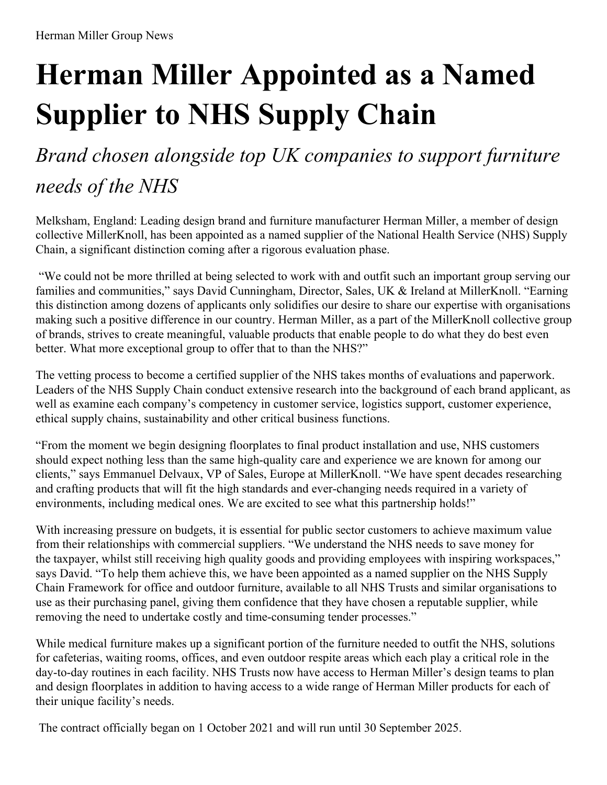# **Herman Miller Appointed as a Named Supplier to NHS Supply Chain**

## *Brand chosen alongside top UK companies to support furniture needs of the NHS*

Melksham, England: Leading design brand and furniture manufacturer Herman Miller, a member of design collective MillerKnoll, has been appointed as a named supplier of the National Health Service (NHS) Supply Chain, a significant distinction coming after a rigorous evaluation phase.

"We could not be more thrilled at being selected to work with and outfit such an important group serving our families and communities," says David Cunningham, Director, Sales, UK & Ireland at MillerKnoll. "Earning this distinction among dozens of applicants only solidifies our desire to share our expertise with organisations making such a positive difference in our country. Herman Miller, as a part of the MillerKnoll collective group of brands, strives to create meaningful, valuable products that enable people to do what they do best even better. What more exceptional group to offer that to than the NHS?"

The vetting process to become a certified supplier of the NHS takes months of evaluations and paperwork. Leaders of the NHS Supply Chain conduct extensive research into the background of each brand applicant, as well as examine each company's competency in customer service, logistics support, customer experience, ethical supply chains, sustainability and other critical business functions.

"From the moment we begin designing floorplates to final product installation and use, NHS customers should expect nothing less than the same high-quality care and experience we are known for among our clients," says Emmanuel Delvaux, VP of Sales, Europe at MillerKnoll. "We have spent decades researching and crafting products that will fit the high standards and ever-changing needs required in a variety of environments, including medical ones. We are excited to see what this partnership holds!"

With increasing pressure on budgets, it is essential for public sector customers to achieve maximum value from their relationships with commercial suppliers. "We understand the NHS needs to save money for the taxpayer, whilst still receiving high quality goods and providing employees with inspiring workspaces," says David. "To help them achieve this, we have been appointed as a named supplier on the NHS Supply Chain Framework for office and outdoor furniture, available to all NHS Trusts and similar organisations to use as their purchasing panel, giving them confidence that they have chosen a reputable supplier, while removing the need to undertake costly and time-consuming tender processes."

While medical furniture makes up a significant portion of the furniture needed to outfit the NHS, solutions for cafeterias, waiting rooms, offices, and even outdoor respite areas which each play a critical role in the day-to-day routines in each facility. NHS Trusts now have access to Herman Miller's design teams to plan and design floorplates in addition to having access to a wide range of Herman Miller products for each of their unique facility's needs.

The contract officially began on 1 October 2021 and will run until 30 September 2025.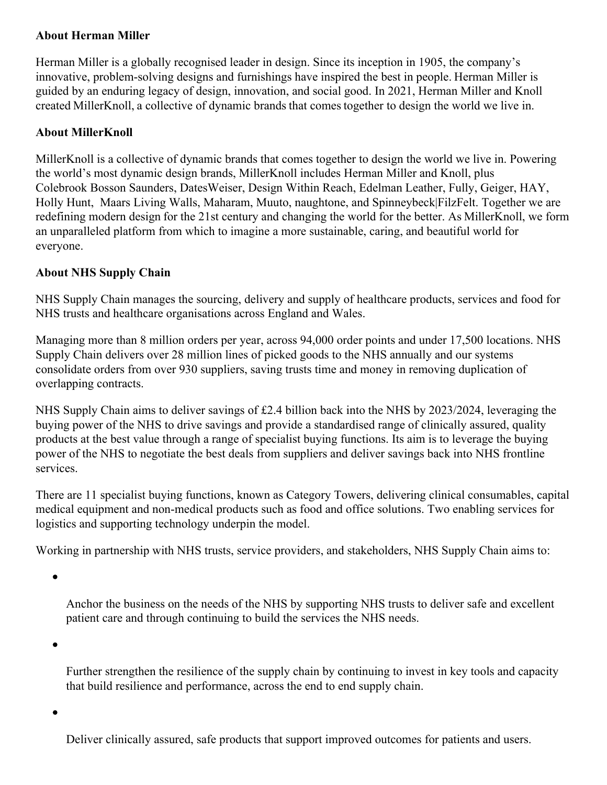### **About Herman Miller**

Herman Miller is a globally recognised leader in design. Since its inception in 1905, the company's innovative, problem-solving designs and furnishings have inspired the best in people. Herman Miller is guided by an enduring legacy of design, innovation, and social good. In 2021, Herman Miller and Knoll created MillerKnoll, a collective of dynamic brands that comes together to design the world we live in.

#### **About MillerKnoll**

MillerKnoll is a collective of dynamic brands that comes together to design the world we live in. Powering the world's most dynamic design brands, MillerKnoll includes Herman Miller and Knoll, plus Colebrook Bosson Saunders, DatesWeiser, Design Within Reach, Edelman Leather, Fully, Geiger, HAY, Holly Hunt, Maars Living Walls, Maharam, Muuto, naughtone, and Spinneybeck|FilzFelt. Together we are redefining modern design for the 21st century and changing the world for the better. As MillerKnoll, we form an unparalleled platform from which to imagine a more sustainable, caring, and beautiful world for everyone.

### **About NHS Supply Chain**

NHS Supply Chain manages the sourcing, delivery and supply of healthcare products, services and food for NHS trusts and healthcare organisations across England and Wales.

Managing more than 8 million orders per year, across 94,000 order points and under 17,500 locations. NHS Supply Chain delivers over 28 million lines of picked goods to the NHS annually and our systems consolidate orders from over 930 suppliers, saving trusts time and money in removing duplication of overlapping contracts.

NHS Supply Chain aims to deliver savings of £2.4 billion back into the NHS by 2023/2024, leveraging the buying power of the NHS to drive savings and provide a standardised range of clinically assured, quality products at the best value through a range of specialist buying functions. Its aim is to leverage the buying power of the NHS to negotiate the best deals from suppliers and deliver savings back into NHS frontline services.

There are 11 specialist buying functions, known as Category Towers, delivering clinical consumables, capital medical equipment and non-medical products such as food and office solutions. Two enabling services for logistics and supporting technology underpin the model.

Working in partnership with NHS trusts, service providers, and stakeholders, NHS Supply Chain aims to:

 $\bullet$ 

Anchor the business on the needs of the NHS by supporting NHS trusts to deliver safe and excellent patient care and through continuing to build the services the NHS needs.

Further strengthen the resilience of the supply chain by continuing to invest in key tools and capacity that build resilience and performance, across the end to end supply chain.

Deliver clinically assured, safe products that support improved outcomes for patients and users.